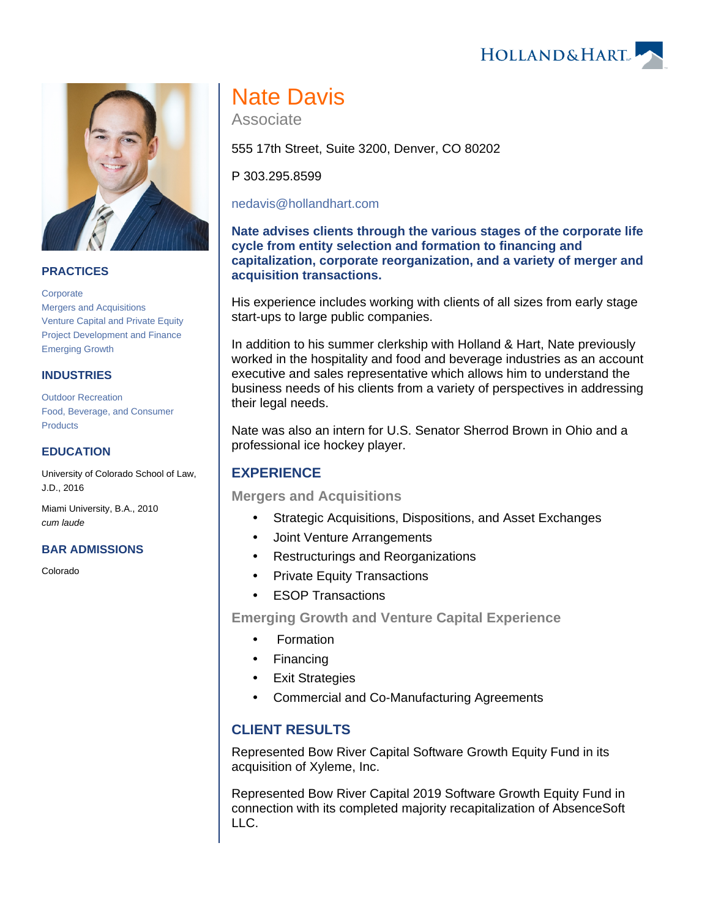HOLLAND& HART



### **PRACTICES**

**[Corporate](https://www.hollandhart.com/19668)** [Mergers and Acquisitions](https://www.hollandhart.com/19748) [Venture Capital and Private Equity](https://www.hollandhart.com/19730) [Project Development and Finance](https://www.hollandhart.com/19763) [Emerging Growth](https://www.hollandhart.com/19757)

### **INDUSTRIES**

[Outdoor Recreation](https://www.hollandhart.com/34315) [Food, Beverage, and Consumer](https://www.hollandhart.com/19688)  **[Products](https://www.hollandhart.com/19688)** 

### **EDUCATION**

University of Colorado School of Law, J.D., 2016

Miami University, B.A., 2010 cum laude

#### **BAR ADMISSIONS**

Colorado

# Nate Davis

Associate

555 17th Street, Suite 3200, Denver, CO 80202

P 303.295.8599

[nedavis@hollandhart.com](mailto:nedavis@hollandhart.com)

**Nate advises clients through the various stages of the corporate life cycle from entity selection and formation to financing and capitalization, corporate reorganization, and a variety of merger and acquisition transactions.**

His experience includes working with clients of all sizes from early stage start-ups to large public companies.

In addition to his summer clerkship with Holland & Hart, Nate previously worked in the hospitality and food and beverage industries as an account executive and sales representative which allows him to understand the business needs of his clients from a variety of perspectives in addressing their legal needs.

Nate was also an intern for U.S. Senator Sherrod Brown in Ohio and a professional ice hockey player.

## **EXPERIENCE**

**Mergers and Acquisitions**

- Strategic Acquisitions, Dispositions, and Asset Exchanges
- Joint Venture Arrangements
- Restructurings and Reorganizations
- Private Equity Transactions
- **ESOP Transactions**

**Emerging Growth and Venture Capital Experience**

- Formation
- Financing
- Exit Strategies
- Commercial and Co-Manufacturing Agreements

## **CLIENT RESULTS**

Represented Bow River Capital Software Growth Equity Fund in its acquisition of Xyleme, Inc.

Represented Bow River Capital 2019 Software Growth Equity Fund in connection with its completed majority recapitalization of AbsenceSoft LLC.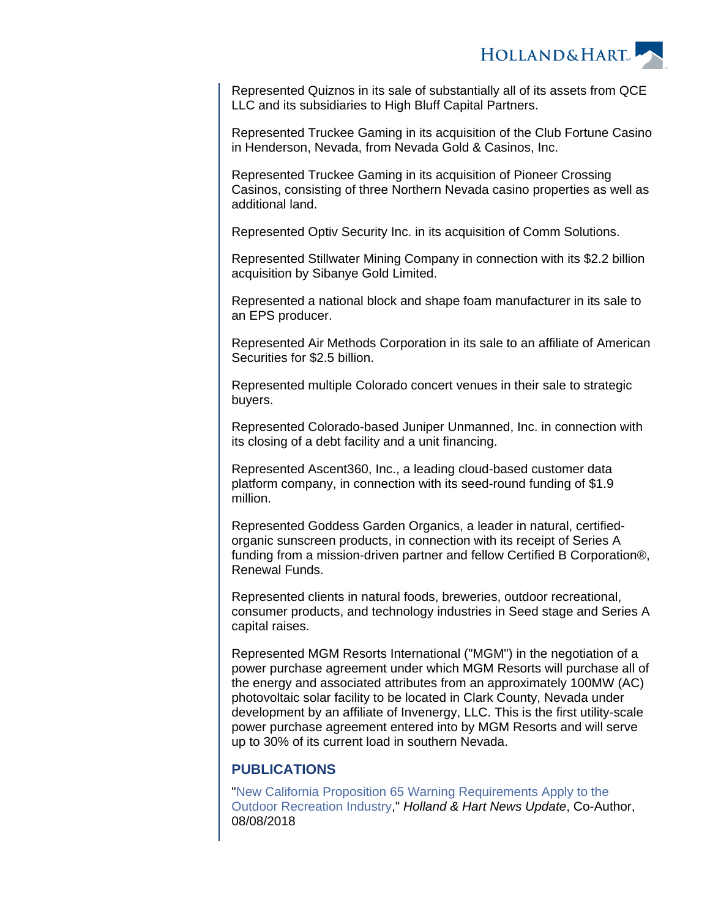

Represented Quiznos in its sale of substantially all of its assets from QCE LLC and its subsidiaries to High Bluff Capital Partners.

Represented Truckee Gaming in its acquisition of the Club Fortune Casino in Henderson, Nevada, from Nevada Gold & Casinos, Inc.

Represented Truckee Gaming in its acquisition of Pioneer Crossing Casinos, consisting of three Northern Nevada casino properties as well as additional land.

Represented Optiv Security Inc. in its acquisition of Comm Solutions.

Represented Stillwater Mining Company in connection with its \$2.2 billion acquisition by Sibanye Gold Limited.

Represented a national block and shape foam manufacturer in its sale to an EPS producer.

Represented Air Methods Corporation in its sale to an affiliate of American Securities for \$2.5 billion.

Represented multiple Colorado concert venues in their sale to strategic buyers.

Represented Colorado-based Juniper Unmanned, Inc. in connection with its closing of a debt facility and a unit financing.

Represented Ascent360, Inc., a leading cloud-based customer data platform company, in connection with its seed-round funding of \$1.9 million.

Represented Goddess Garden Organics, a leader in natural, certifiedorganic sunscreen products, in connection with its receipt of Series A funding from a mission-driven partner and fellow Certified B Corporation®, Renewal Funds.

Represented clients in natural foods, breweries, outdoor recreational, consumer products, and technology industries in Seed stage and Series A capital raises.

Represented MGM Resorts International ("MGM") in the negotiation of a power purchase agreement under which MGM Resorts will purchase all of the energy and associated attributes from an approximately 100MW (AC) photovoltaic solar facility to be located in Clark County, Nevada under development by an affiliate of Invenergy, LLC. This is the first utility-scale power purchase agreement entered into by MGM Resorts and will serve up to 30% of its current load in southern Nevada.

### **PUBLICATIONS**

"[New California Proposition 65 Warning Requirements Apply to the](https://www.hollandhart.com/34702)  [Outdoor Recreation Industry,](https://www.hollandhart.com/34702)" Holland & Hart News Update, Co-Author, 08/08/2018